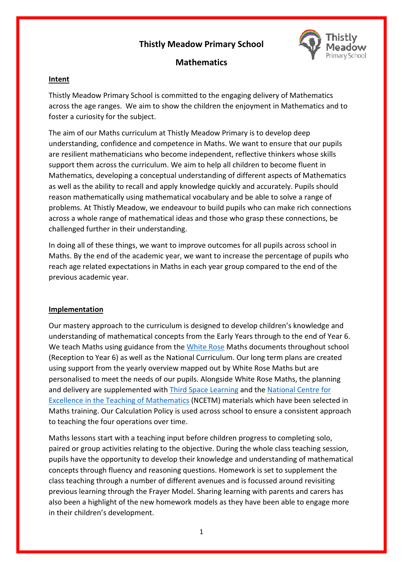# **Thistly Meadow Primary School**



# **Mathematics**

### **Intent**

Thistly Meadow Primary School is committed to the engaging delivery of Mathematics across the age ranges. We aim to show the children the enjoyment in Mathematics and to foster a curiosity for the subject.

The aim of our Maths curriculum at Thistly Meadow Primary is to develop deep understanding, confidence and competence in Maths. We want to ensure that our pupils are resilient mathematicians who become independent, reflective thinkers whose skills support them across the curriculum. We aim to help all children to become fluent in Mathematics, developing a conceptual understanding of different aspects of Mathematics as well as the ability to recall and apply knowledge quickly and accurately. Pupils should reason mathematically using mathematical vocabulary and be able to solve a range of problems. At Thistly Meadow, we endeavour to build pupils who can make rich connections across a whole range of mathematical ideas and those who grasp these connections, be challenged further in their understanding.

In doing all of these things, we want to improve outcomes for all pupils across school in Maths. By the end of the academic year, we want to increase the percentage of pupils who reach age related expectations in Maths in each year group compared to the end of the previous academic year.

## **Implementation**

Our mastery approach to the curriculum is designed to develop children's knowledge and understanding of mathematical concepts from the Early Years through to the end of Year 6. We teach Maths using guidance from th[e White Rose](https://whiterosemaths.com/) Maths documents throughout school (Reception to Year 6) as well as the National Curriculum. Our long term plans are created using support from the yearly overview mapped out by White Rose Maths but are personalised to meet the needs of our pupils. Alongside White Rose Maths, the planning and delivery are supplemented with [Third Space Learning](https://thirdspacelearning.com/) and the National Centre for [Excellence in the Teaching of Mathematics](https://www.ncetm.org.uk/) (NCETM) materials which have been selected in Maths training. Our Calculation Policy is used across school to ensure a consistent approach to teaching the four operations over time.

Maths lessons start with a teaching input before children progress to completing solo, paired or group activities relating to the objective. During the whole class teaching session, pupils have the opportunity to develop their knowledge and understanding of mathematical concepts through fluency and reasoning questions. Homework is set to supplement the class teaching through a number of different avenues and is focussed around revisiting previous learning through the Frayer Model. Sharing learning with parents and carers has also been a highlight of the new homework models as they have been able to engage more in their children's development.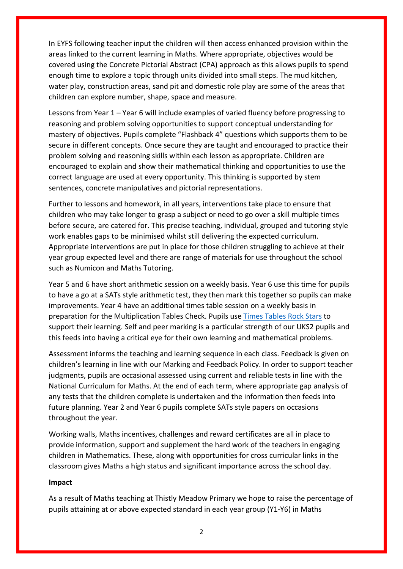In EYFS following teacher input the children will then access enhanced provision within the areas linked to the current learning in Maths. Where appropriate, objectives would be covered using the Concrete Pictorial Abstract (CPA) approach as this allows pupils to spend enough time to explore a topic through units divided into small steps. The mud kitchen, water play, construction areas, sand pit and domestic role play are some of the areas that children can explore number, shape, space and measure.

Lessons from Year 1 – Year 6 will include examples of varied fluency before progressing to reasoning and problem solving opportunities to support conceptual understanding for mastery of objectives. Pupils complete "Flashback 4" questions which supports them to be secure in different concepts. Once secure they are taught and encouraged to practice their problem solving and reasoning skills within each lesson as appropriate. Children are encouraged to explain and show their mathematical thinking and opportunities to use the correct language are used at every opportunity. This thinking is supported by stem sentences, concrete manipulatives and pictorial representations.

Further to lessons and homework, in all years, interventions take place to ensure that children who may take longer to grasp a subject or need to go over a skill multiple times before secure, are catered for. This precise teaching, individual, grouped and tutoring style work enables gaps to be minimised whilst still delivering the expected curriculum. Appropriate interventions are put in place for those children struggling to achieve at their year group expected level and there are range of materials for use throughout the school such as Numicon and Maths Tutoring.

Year 5 and 6 have short arithmetic session on a weekly basis. Year 6 use this time for pupils to have a go at a SATs style arithmetic test, they then mark this together so pupils can make improvements. Year 4 have an additional times table session on a weekly basis in preparation for the Multiplication Tables Check. Pupils use [Times Tables Rock Stars](https://ttrockstars.com/) to support their learning. Self and peer marking is a particular strength of our UKS2 pupils and this feeds into having a critical eye for their own learning and mathematical problems.

Assessment informs the teaching and learning sequence in each class. Feedback is given on children's learning in line with our Marking and Feedback Policy. In order to support teacher judgments, pupils are occasional assessed using current and reliable tests in line with the National Curriculum for Maths. At the end of each term, where appropriate gap analysis of any tests that the children complete is undertaken and the information then feeds into future planning. Year 2 and Year 6 pupils complete SATs style papers on occasions throughout the year.

Working walls, Maths incentives, challenges and reward certificates are all in place to provide information, support and supplement the hard work of the teachers in engaging children in Mathematics. These, along with opportunities for cross curricular links in the classroom gives Maths a high status and significant importance across the school day.

#### **Impact**

As a result of Maths teaching at Thistly Meadow Primary we hope to raise the percentage of pupils attaining at or above expected standard in each year group (Y1-Y6) in Maths